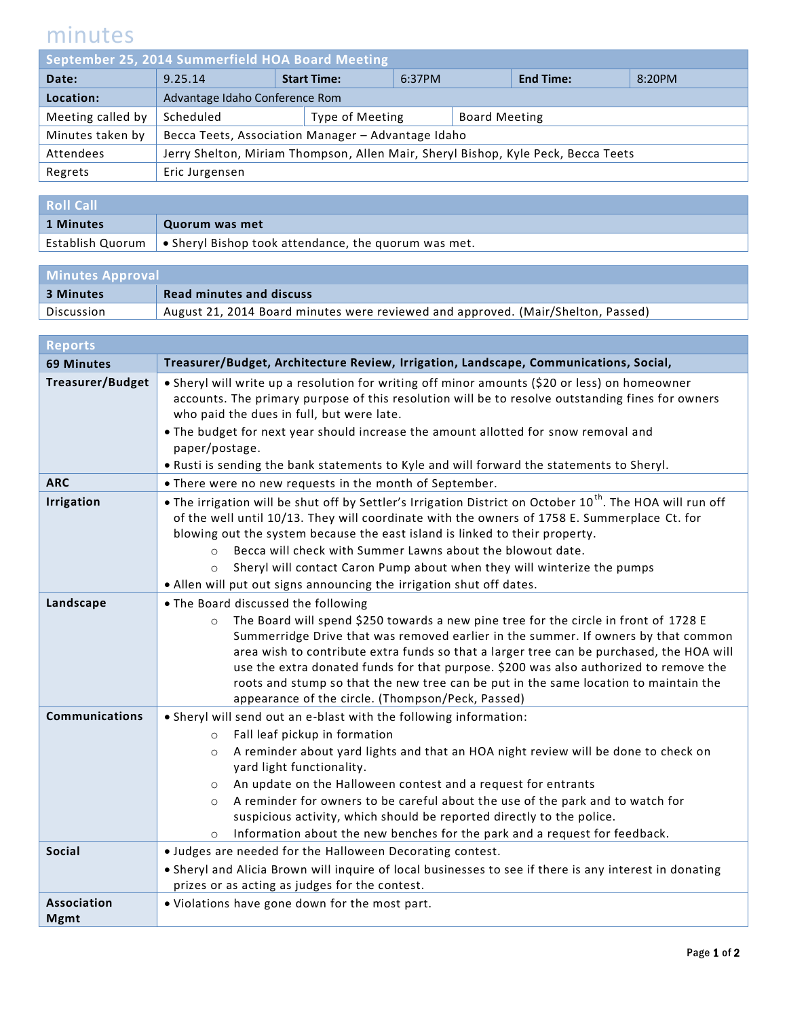## minutes

| September 25, 2014 Summerfield HOA Board Meeting |                                                                                   |  |                    |        |                      |                  |        |
|--------------------------------------------------|-----------------------------------------------------------------------------------|--|--------------------|--------|----------------------|------------------|--------|
| Date:                                            | 9.25.14                                                                           |  | <b>Start Time:</b> | 6:37PM |                      | <b>End Time:</b> | 8:20PM |
| Location:                                        | Advantage Idaho Conference Rom                                                    |  |                    |        |                      |                  |        |
| Meeting called by                                | Scheduled                                                                         |  | Type of Meeting    |        | <b>Board Meeting</b> |                  |        |
| Minutes taken by                                 | Becca Teets, Association Manager - Advantage Idaho                                |  |                    |        |                      |                  |        |
| Attendees                                        | Jerry Shelton, Miriam Thompson, Allen Mair, Sheryl Bishop, Kyle Peck, Becca Teets |  |                    |        |                      |                  |        |
| Regrets                                          | Eric Jurgensen                                                                    |  |                    |        |                      |                  |        |
|                                                  |                                                                                   |  |                    |        |                      |                  |        |

| <b>Roll Call</b> |                                                                                             |
|------------------|---------------------------------------------------------------------------------------------|
| 1 Minutes        | Quorum was met                                                                              |
|                  | Establish Quorum $\vert \bullet \text{ Sheryl Bishop took attendance, the quorum was met.}$ |

| <b>Minutes Approval</b> |                                                                                  |  |
|-------------------------|----------------------------------------------------------------------------------|--|
| 3 Minutes               | <b>Read minutes and discuss</b>                                                  |  |
| Discussion              | August 21, 2014 Board minutes were reviewed and approved. (Mair/Shelton, Passed) |  |

| <b>Reports</b>                    |                                                                                                                                                                                                                                                                                                                                                                                                                                                                                                                                             |
|-----------------------------------|---------------------------------------------------------------------------------------------------------------------------------------------------------------------------------------------------------------------------------------------------------------------------------------------------------------------------------------------------------------------------------------------------------------------------------------------------------------------------------------------------------------------------------------------|
| <b>69 Minutes</b>                 | Treasurer/Budget, Architecture Review, Irrigation, Landscape, Communications, Social,                                                                                                                                                                                                                                                                                                                                                                                                                                                       |
| <b>Treasurer/Budget</b>           | • Sheryl will write up a resolution for writing off minor amounts (\$20 or less) on homeowner<br>accounts. The primary purpose of this resolution will be to resolve outstanding fines for owners<br>who paid the dues in full, but were late.<br>. The budget for next year should increase the amount allotted for snow removal and<br>paper/postage.<br>. Rusti is sending the bank statements to Kyle and will forward the statements to Sheryl.                                                                                        |
| <b>ARC</b>                        | . There were no new requests in the month of September.                                                                                                                                                                                                                                                                                                                                                                                                                                                                                     |
| <b>Irrigation</b>                 | . The irrigation will be shut off by Settler's Irrigation District on October 10 <sup>th</sup> . The HOA will run off<br>of the well until 10/13. They will coordinate with the owners of 1758 E. Summerplace Ct. for<br>blowing out the system because the east island is linked to their property.<br>Becca will check with Summer Lawns about the blowout date.<br>$\circ$<br>Sheryl will contact Caron Pump about when they will winterize the pumps<br>$\circ$<br>• Allen will put out signs announcing the irrigation shut off dates. |
| Landscape                         | . The Board discussed the following                                                                                                                                                                                                                                                                                                                                                                                                                                                                                                         |
|                                   | The Board will spend \$250 towards a new pine tree for the circle in front of 1728 E<br>$\circ$<br>Summerridge Drive that was removed earlier in the summer. If owners by that common<br>area wish to contribute extra funds so that a larger tree can be purchased, the HOA will<br>use the extra donated funds for that purpose. \$200 was also authorized to remove the<br>roots and stump so that the new tree can be put in the same location to maintain the<br>appearance of the circle. (Thompson/Peck, Passed)                     |
| Communications                    | . Sheryl will send out an e-blast with the following information:                                                                                                                                                                                                                                                                                                                                                                                                                                                                           |
|                                   | Fall leaf pickup in formation<br>$\circ$<br>A reminder about yard lights and that an HOA night review will be done to check on<br>$\circ$<br>yard light functionality.<br>An update on the Halloween contest and a request for entrants<br>$\circ$<br>A reminder for owners to be careful about the use of the park and to watch for<br>$\circ$<br>suspicious activity, which should be reported directly to the police.<br>Information about the new benches for the park and a request for feedback.<br>$\circ$                           |
| <b>Social</b>                     | . Judges are needed for the Halloween Decorating contest.                                                                                                                                                                                                                                                                                                                                                                                                                                                                                   |
|                                   | • Sheryl and Alicia Brown will inquire of local businesses to see if there is any interest in donating<br>prizes or as acting as judges for the contest.                                                                                                                                                                                                                                                                                                                                                                                    |
| <b>Association</b><br><b>Mgmt</b> | . Violations have gone down for the most part.                                                                                                                                                                                                                                                                                                                                                                                                                                                                                              |